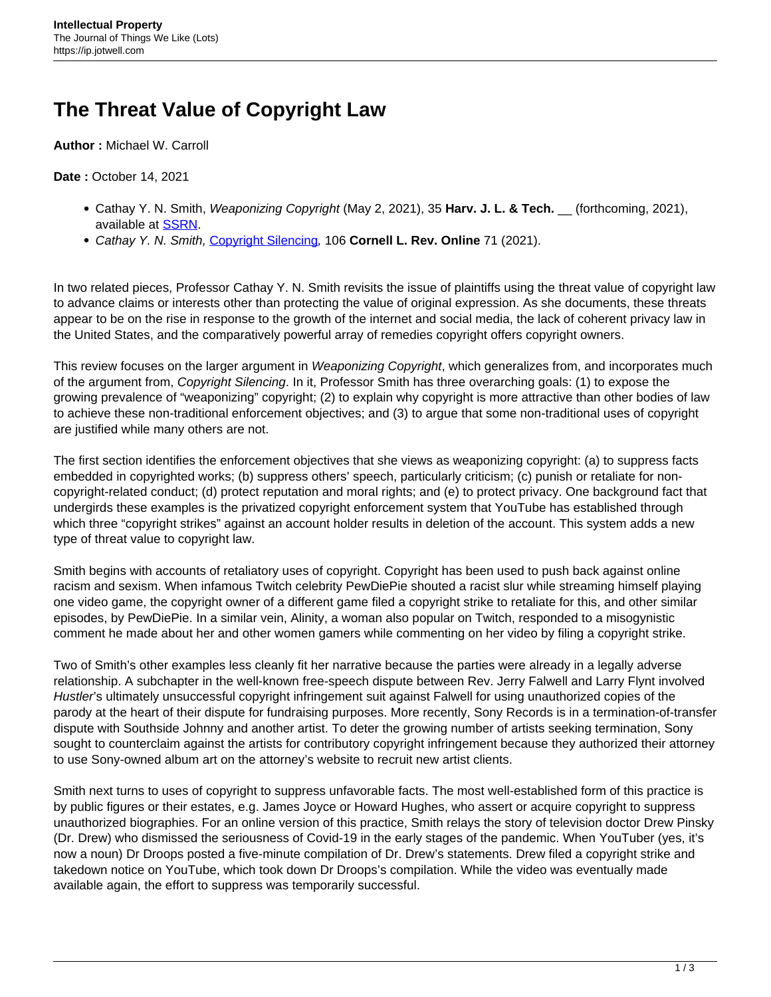## **The Threat Value of Copyright Law**

**Author :** Michael W. Carroll

**Date :** October 14, 2021

- Cathay Y. N. Smith, Weaponizing Copyright (May 2, 2021), 35 **Harv. J. L. & Tech.** \_\_ (forthcoming, 2021), available at [SSRN](https://papers.ssrn.com/sol3/papers.cfm?abstract_id=3806015).
- Cathay Y. N. Smith, [Copyright Silencing](https://cornelllawreview.org/2021/01/22/copyright-silencing/), 106 **Cornell L. Rev. Online** 71 (2021).

In two related pieces, Professor Cathay Y. N. Smith revisits the issue of plaintiffs using the threat value of copyright law to advance claims or interests other than protecting the value of original expression. As she documents, these threats appear to be on the rise in response to the growth of the internet and social media, the lack of coherent privacy law in the United States, and the comparatively powerful array of remedies copyright offers copyright owners.

This review focuses on the larger argument in Weaponizing Copyright, which generalizes from, and incorporates much of the argument from, Copyright Silencing. In it, Professor Smith has three overarching goals: (1) to expose the growing prevalence of "weaponizing" copyright; (2) to explain why copyright is more attractive than other bodies of law to achieve these non-traditional enforcement objectives; and (3) to argue that some non-traditional uses of copyright are justified while many others are not.

The first section identifies the enforcement objectives that she views as weaponizing copyright: (a) to suppress facts embedded in copyrighted works; (b) suppress others' speech, particularly criticism; (c) punish or retaliate for noncopyright-related conduct; (d) protect reputation and moral rights; and (e) to protect privacy. One background fact that undergirds these examples is the privatized copyright enforcement system that YouTube has established through which three "copyright strikes" against an account holder results in deletion of the account. This system adds a new type of threat value to copyright law.

Smith begins with accounts of retaliatory uses of copyright. Copyright has been used to push back against online racism and sexism. When infamous Twitch celebrity PewDiePie shouted a racist slur while streaming himself playing one video game, the copyright owner of a different game filed a copyright strike to retaliate for this, and other similar episodes, by PewDiePie. In a similar vein, Alinity, a woman also popular on Twitch, responded to a misogynistic comment he made about her and other women gamers while commenting on her video by filing a copyright strike.

Two of Smith's other examples less cleanly fit her narrative because the parties were already in a legally adverse relationship. A subchapter in the well-known free-speech dispute between Rev. Jerry Falwell and Larry Flynt involved Hustler's ultimately unsuccessful copyright infringement suit against Falwell for using unauthorized copies of the parody at the heart of their dispute for fundraising purposes. More recently, Sony Records is in a termination-of-transfer dispute with Southside Johnny and another artist. To deter the growing number of artists seeking termination, Sony sought to counterclaim against the artists for contributory copyright infringement because they authorized their attorney to use Sony-owned album art on the attorney's website to recruit new artist clients.

Smith next turns to uses of copyright to suppress unfavorable facts. The most well-established form of this practice is by public figures or their estates, e.g. James Joyce or Howard Hughes, who assert or acquire copyright to suppress unauthorized biographies. For an online version of this practice, Smith relays the story of television doctor Drew Pinsky (Dr. Drew) who dismissed the seriousness of Covid-19 in the early stages of the pandemic. When YouTuber (yes, it's now a noun) Dr Droops posted a five-minute compilation of Dr. Drew's statements. Drew filed a copyright strike and takedown notice on YouTube, which took down Dr Droops's compilation. While the video was eventually made available again, the effort to suppress was temporarily successful.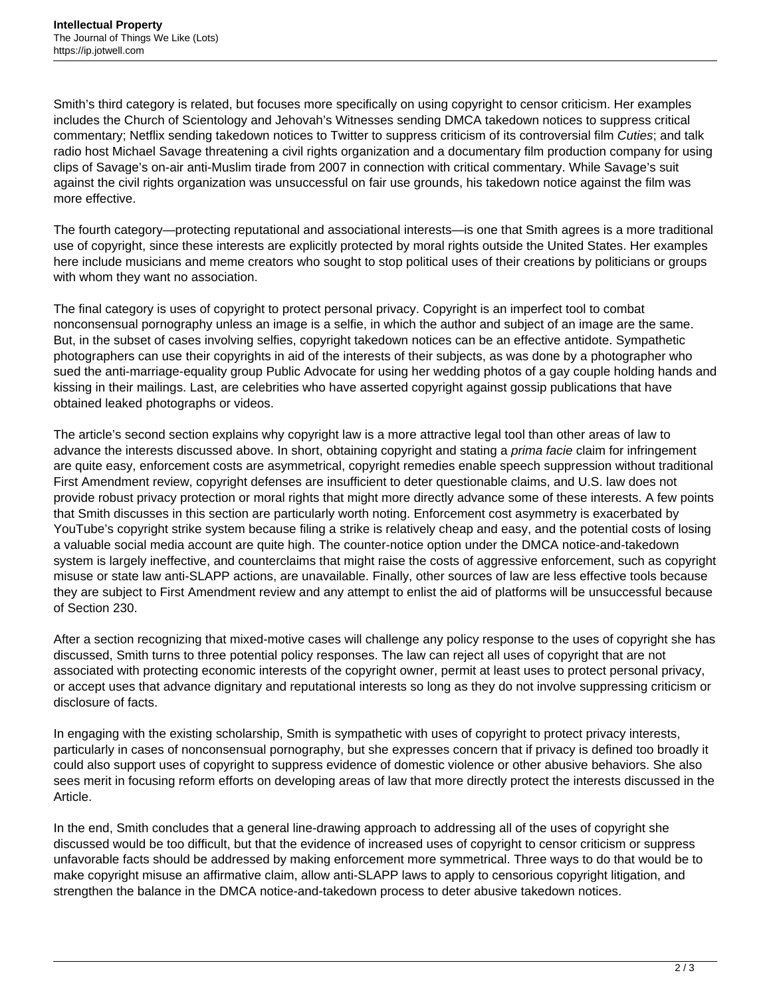Smith's third category is related, but focuses more specifically on using copyright to censor criticism. Her examples includes the Church of Scientology and Jehovah's Witnesses sending DMCA takedown notices to suppress critical commentary; Netflix sending takedown notices to Twitter to suppress criticism of its controversial film Cuties; and talk radio host Michael Savage threatening a civil rights organization and a documentary film production company for using clips of Savage's on-air anti-Muslim tirade from 2007 in connection with critical commentary. While Savage's suit against the civil rights organization was unsuccessful on fair use grounds, his takedown notice against the film was more effective.

The fourth category—protecting reputational and associational interests—is one that Smith agrees is a more traditional use of copyright, since these interests are explicitly protected by moral rights outside the United States. Her examples here include musicians and meme creators who sought to stop political uses of their creations by politicians or groups with whom they want no association.

The final category is uses of copyright to protect personal privacy. Copyright is an imperfect tool to combat nonconsensual pornography unless an image is a selfie, in which the author and subject of an image are the same. But, in the subset of cases involving selfies, copyright takedown notices can be an effective antidote. Sympathetic photographers can use their copyrights in aid of the interests of their subjects, as was done by a photographer who sued the anti-marriage-equality group Public Advocate for using her wedding photos of a gay couple holding hands and kissing in their mailings. Last, are celebrities who have asserted copyright against gossip publications that have obtained leaked photographs or videos.

The article's second section explains why copyright law is a more attractive legal tool than other areas of law to advance the interests discussed above. In short, obtaining copyright and stating a prima facie claim for infringement are quite easy, enforcement costs are asymmetrical, copyright remedies enable speech suppression without traditional First Amendment review, copyright defenses are insufficient to deter questionable claims, and U.S. law does not provide robust privacy protection or moral rights that might more directly advance some of these interests. A few points that Smith discusses in this section are particularly worth noting. Enforcement cost asymmetry is exacerbated by YouTube's copyright strike system because filing a strike is relatively cheap and easy, and the potential costs of losing a valuable social media account are quite high. The counter-notice option under the DMCA notice-and-takedown system is largely ineffective, and counterclaims that might raise the costs of aggressive enforcement, such as copyright misuse or state law anti-SLAPP actions, are unavailable. Finally, other sources of law are less effective tools because they are subject to First Amendment review and any attempt to enlist the aid of platforms will be unsuccessful because of Section 230.

After a section recognizing that mixed-motive cases will challenge any policy response to the uses of copyright she has discussed, Smith turns to three potential policy responses. The law can reject all uses of copyright that are not associated with protecting economic interests of the copyright owner, permit at least uses to protect personal privacy, or accept uses that advance dignitary and reputational interests so long as they do not involve suppressing criticism or disclosure of facts.

In engaging with the existing scholarship, Smith is sympathetic with uses of copyright to protect privacy interests, particularly in cases of nonconsensual pornography, but she expresses concern that if privacy is defined too broadly it could also support uses of copyright to suppress evidence of domestic violence or other abusive behaviors. She also sees merit in focusing reform efforts on developing areas of law that more directly protect the interests discussed in the Article.

In the end, Smith concludes that a general line-drawing approach to addressing all of the uses of copyright she discussed would be too difficult, but that the evidence of increased uses of copyright to censor criticism or suppress unfavorable facts should be addressed by making enforcement more symmetrical. Three ways to do that would be to make copyright misuse an affirmative claim, allow anti-SLAPP laws to apply to censorious copyright litigation, and strengthen the balance in the DMCA notice-and-takedown process to deter abusive takedown notices.